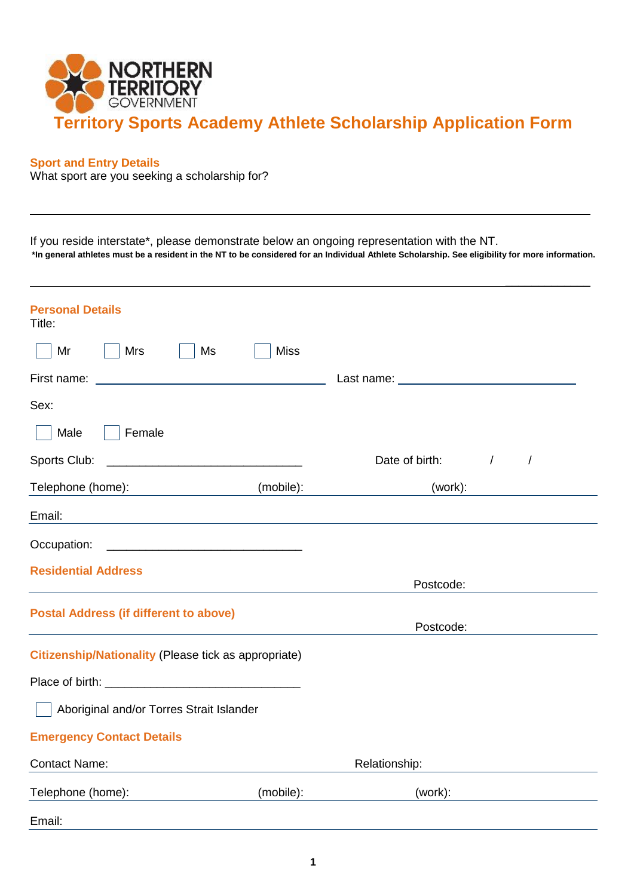

# **Sport and Entry Details**

What sport are you seeking a scholarship for?

If you reside interstate\*, please demonstrate below an ongoing representation with the NT. **\*In general athletes must be a resident in the NT to be considered for an Individual Athlete Scholarship. See eligibility for more information.**

 $\overline{\phantom{a}}$ 

| <b>Personal Details</b><br>Title:                                                                                                                                                                                                                         |             |                |                        |
|-----------------------------------------------------------------------------------------------------------------------------------------------------------------------------------------------------------------------------------------------------------|-------------|----------------|------------------------|
| <b>Mrs</b><br>Ms<br>Mr                                                                                                                                                                                                                                    | <b>Miss</b> |                |                        |
|                                                                                                                                                                                                                                                           |             |                |                        |
| Sex:                                                                                                                                                                                                                                                      |             |                |                        |
| Male<br>Female                                                                                                                                                                                                                                            |             |                |                        |
| Sports Club:                                                                                                                                                                                                                                              |             | Date of birth: | $\sqrt{ }$<br>$\prime$ |
| Telephone (home):<br><u>and the state of the state of the state of the state of the state of the state of the state of the state of the state of the state of the state of the state of the state of the state of the state of the state of the state</u> | (mobile):   | (work):        |                        |
| Email:                                                                                                                                                                                                                                                    |             |                |                        |
| Occupation:                                                                                                                                                                                                                                               |             |                |                        |
| <b>Residential Address</b>                                                                                                                                                                                                                                |             | Postcode:      |                        |
| <b>Postal Address (if different to above)</b>                                                                                                                                                                                                             |             | Postcode:      |                        |
| <b>Citizenship/Nationality (Please tick as appropriate)</b>                                                                                                                                                                                               |             |                |                        |
|                                                                                                                                                                                                                                                           |             |                |                        |
| Aboriginal and/or Torres Strait Islander                                                                                                                                                                                                                  |             |                |                        |
| <b>Emergency Contact Details</b>                                                                                                                                                                                                                          |             |                |                        |
| <b>Contact Name:</b>                                                                                                                                                                                                                                      |             | Relationship:  |                        |
| Telephone (home):                                                                                                                                                                                                                                         | (mobile):   | (work):        |                        |
| Email:                                                                                                                                                                                                                                                    |             |                |                        |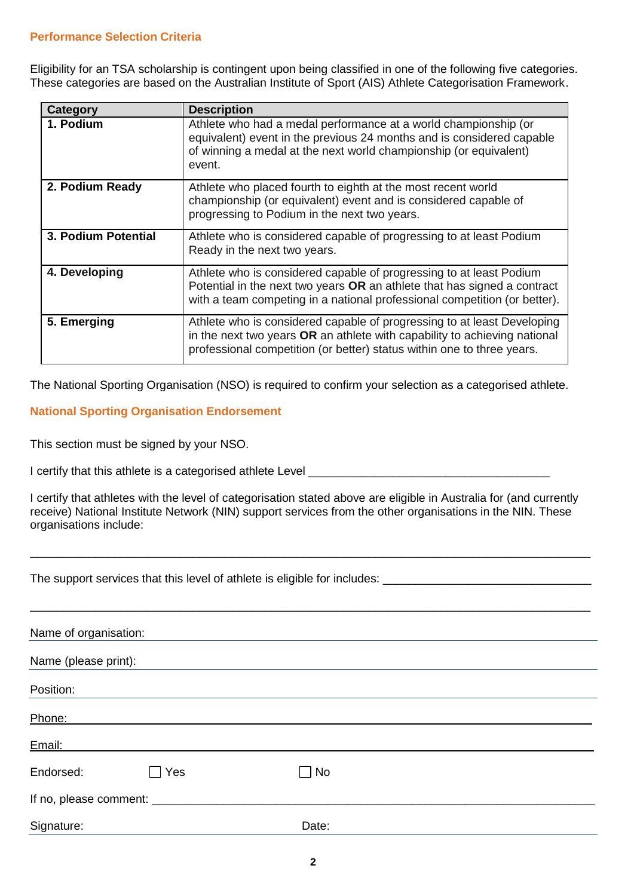# **Performance Selection Criteria**

Eligibility for an TSA scholarship is contingent upon being classified in one of the following five categories. These categories are based on the Australian Institute of Sport (AIS) Athlete Categorisation Framework.

| Category            | <b>Description</b>                                                                                                                                                                                                             |
|---------------------|--------------------------------------------------------------------------------------------------------------------------------------------------------------------------------------------------------------------------------|
| 1. Podium           | Athlete who had a medal performance at a world championship (or<br>equivalent) event in the previous 24 months and is considered capable<br>of winning a medal at the next world championship (or equivalent)<br>event.        |
| 2. Podium Ready     | Athlete who placed fourth to eighth at the most recent world<br>championship (or equivalent) event and is considered capable of<br>progressing to Podium in the next two years.                                                |
| 3. Podium Potential | Athlete who is considered capable of progressing to at least Podium<br>Ready in the next two years.                                                                                                                            |
| 4. Developing       | Athlete who is considered capable of progressing to at least Podium<br>Potential in the next two years OR an athlete that has signed a contract<br>with a team competing in a national professional competition (or better).   |
| 5. Emerging         | Athlete who is considered capable of progressing to at least Developing<br>in the next two years OR an athlete with capability to achieving national<br>professional competition (or better) status within one to three years. |

The National Sporting Organisation (NSO) is required to confirm your selection as a categorised athlete.

# **National Sporting Organisation Endorsement**

This section must be signed by your NSO.

| I certify that this athlete is a categorised athlete Level |  |
|------------------------------------------------------------|--|
|                                                            |  |

I certify that athletes with the level of categorisation stated above are eligible in Australia for (and currently receive) National Institute Network (NIN) support services from the other organisations in the NIN. These organisations include:

\_\_\_\_\_\_\_\_\_\_\_\_\_\_\_\_\_\_\_\_\_\_\_\_\_\_\_\_\_\_\_\_\_\_\_\_\_\_\_\_\_\_\_\_\_\_\_\_\_\_\_\_\_\_\_\_\_\_\_\_\_\_\_\_\_\_\_\_\_\_\_\_\_\_\_\_\_\_\_\_\_\_\_\_\_\_

The support services that this level of athlete is eligible for includes:

| Name of organisation:            |     |       |  |  |
|----------------------------------|-----|-------|--|--|
| Name (please print):             |     |       |  |  |
| Position:                        |     |       |  |  |
| Phone:                           |     |       |  |  |
| Email:                           |     |       |  |  |
| Endorsed:                        | Yes | No    |  |  |
| If no, please comment: _________ |     |       |  |  |
| Signature:                       |     | Date: |  |  |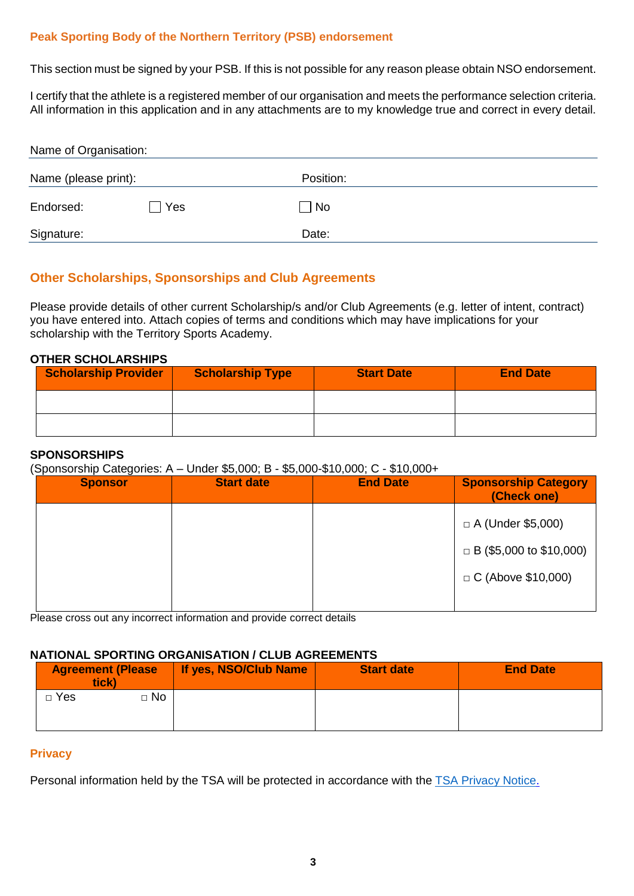# **Peak Sporting Body of the Northern Territory (PSB) endorsement**

This section must be signed by your PSB. If this is not possible for any reason please obtain NSO endorsement.

I certify that the athlete is a registered member of our organisation and meets the performance selection criteria. All information in this application and in any attachments are to my knowledge true and correct in every detail.

| Name of Organisation: |            |                   |  |
|-----------------------|------------|-------------------|--|
| Name (please print):  |            | Position:         |  |
| Endorsed:             | <b>Yes</b> | $\blacksquare$ No |  |
| Signature:            |            | Date:             |  |

# **Other Scholarships, Sponsorships and Club Agreements**

Please provide details of other current Scholarship/s and/or Club Agreements (e.g. letter of intent, contract) you have entered into. Attach copies of terms and conditions which may have implications for your scholarship with the Territory Sports Academy.

# **OTHER SCHOLARSHIPS**

| <b>Scholarship Provider</b> | <b>Scholarship Type</b> | <b>Start Date</b> | <b>End Date</b> |
|-----------------------------|-------------------------|-------------------|-----------------|
|                             |                         |                   |                 |
|                             |                         |                   |                 |

## **SPONSORSHIPS**

(Sponsorship Categories: A – Under \$5,000; B - \$5,000-\$10,000; C - \$10,000+

| . <u>.</u> .<br><b>Sponsor</b> | <b>Start date</b> | <b>End Date</b> | <b>Sponsorship Category</b><br>(Check one) |
|--------------------------------|-------------------|-----------------|--------------------------------------------|
|                                |                   |                 | $\Box$ A (Under \$5,000)                   |
|                                |                   |                 | $\Box$ B (\$5,000 to \$10,000)             |
|                                |                   |                 | $C$ (Above \$10,000)                       |
|                                |                   |                 |                                            |

Please cross out any incorrect information and provide correct details

## **NATIONAL SPORTING ORGANISATION / CLUB AGREEMENTS**

| <b>Agreement (Please</b><br>tick) |           | If yes, NSO/Club Name | <b>Start date</b> | <b>End Date</b> |
|-----------------------------------|-----------|-----------------------|-------------------|-----------------|
| $\Box$ Yes                        | $\Box$ No |                       |                   |                 |
|                                   |           |                       |                   |                 |

## **Privacy**

Personal information held by the TSA will be protected in accordance with the TSA [Privacy Notice.](https://dtc.nt.gov.au/sport-and-recreation/northern-territory-institute-of-sport/athlete-scholarships)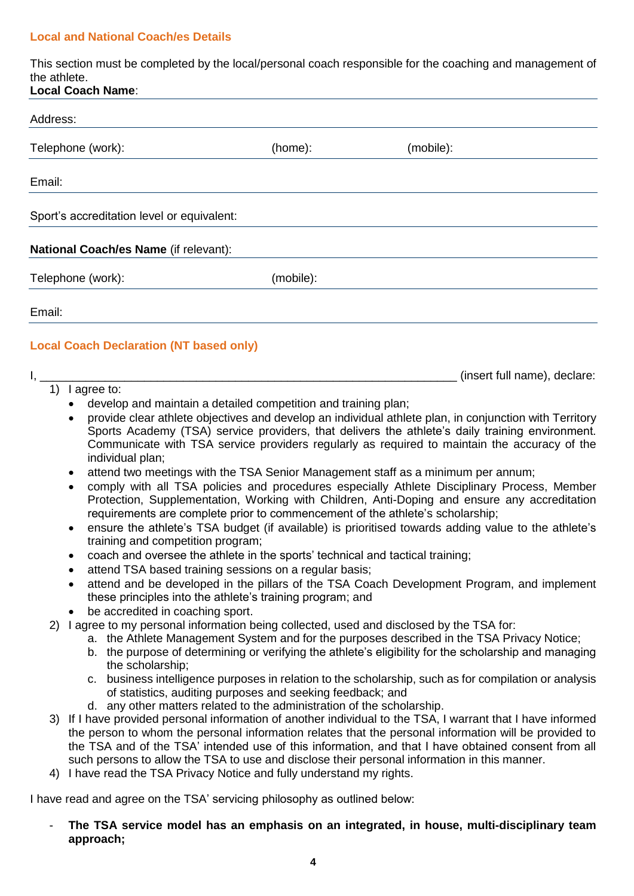# **Local and National Coach/es Details**

This section must be completed by the local/personal coach responsible for the coaching and management of the athlete.

| <b>Local Coach Name:</b>                                                                                                                                                                                                          |           |           |  |
|-----------------------------------------------------------------------------------------------------------------------------------------------------------------------------------------------------------------------------------|-----------|-----------|--|
| Address:                                                                                                                                                                                                                          |           |           |  |
| Telephone (work):                                                                                                                                                                                                                 | (home):   | (mobile): |  |
| Email:                                                                                                                                                                                                                            |           |           |  |
| Sport's accreditation level or equivalent:                                                                                                                                                                                        |           |           |  |
| National Coach/es Name (if relevant):                                                                                                                                                                                             |           |           |  |
| Telephone (work):                                                                                                                                                                                                                 | (mobile): |           |  |
| Email:                                                                                                                                                                                                                            |           |           |  |
| $\mathbf{r}$ , and the second contract of the second contract of the second contract of the second contract of the second contract of the second contract of the second contract of the second contract of the second contract of |           |           |  |

# **Local Coach Declaration (NT based only)**

#### $I,$   $\blacksquare$

1) I agree to:

- develop and maintain a detailed competition and training plan;
- provide clear athlete objectives and develop an individual athlete plan, in conjunction with Territory Sports Academy (TSA) service providers, that delivers the athlete's daily training environment. Communicate with TSA service providers regularly as required to maintain the accuracy of the individual plan;
- attend two meetings with the TSA Senior Management staff as a minimum per annum;
- comply with all TSA policies and procedures especially Athlete Disciplinary Process, Member Protection, Supplementation, Working with Children, Anti-Doping and ensure any accreditation requirements are complete prior to commencement of the athlete's scholarship;
- ensure the athlete's TSA budget (if available) is prioritised towards adding value to the athlete's training and competition program;
- coach and oversee the athlete in the sports' technical and tactical training;
- attend TSA based training sessions on a regular basis;
- attend and be developed in the pillars of the TSA Coach Development Program, and implement these principles into the athlete's training program; and
- **be accredited in coaching sport.**
- 2) I agree to my personal information being collected, used and disclosed by the TSA for:
	- a. the Athlete Management System and for the purposes described in the TSA Privacy Notice;
	- b. the purpose of determining or verifying the athlete's eligibility for the scholarship and managing the scholarship;
	- c. business intelligence purposes in relation to the scholarship, such as for compilation or analysis of statistics, auditing purposes and seeking feedback; and
	- d. any other matters related to the administration of the scholarship.
- 3) If I have provided personal information of another individual to the TSA, I warrant that I have informed the person to whom the personal information relates that the personal information will be provided to the TSA and of the TSA' intended use of this information, and that I have obtained consent from all such persons to allow the TSA to use and disclose their personal information in this manner.
- 4) I have read the TSA Privacy Notice and fully understand my rights.

I have read and agree on the TSA' servicing philosophy as outlined below:

- **The TSA service model has an emphasis on an integrated, in house, multi-disciplinary team approach;**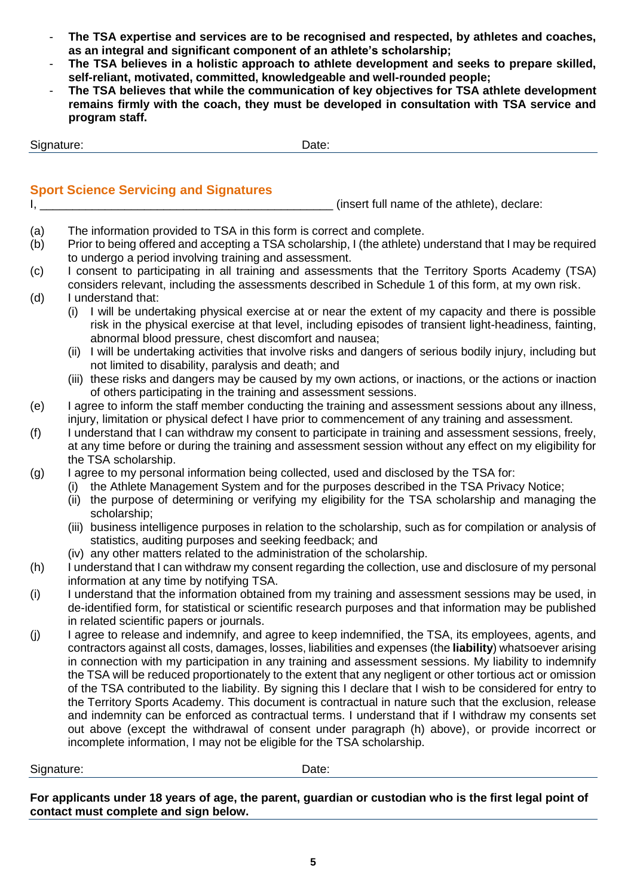- **The TSA expertise and services are to be recognised and respected, by athletes and coaches, as an integral and significant component of an athlete's scholarship;**
- **The TSA believes in a holistic approach to athlete development and seeks to prepare skilled, self-reliant, motivated, committed, knowledgeable and well-rounded people;**
- **The TSA believes that while the communication of key objectives for TSA athlete development remains firmly with the coach, they must be developed in consultation with TSA service and program staff.**

Signature: Date: Date:

# **Sport Science Servicing and Signatures**

I, \_\_\_\_\_\_\_\_\_\_\_\_\_\_\_\_\_\_\_\_\_\_\_\_\_\_\_\_\_\_\_\_\_\_\_\_\_\_\_\_\_\_\_\_\_ (insert full name of the athlete), declare:

- (a) The information provided to TSA in this form is correct and complete.
- (b) Prior to being offered and accepting a TSA scholarship, I (the athlete) understand that I may be required to undergo a period involving training and assessment.
- (c) I consent to participating in all training and assessments that the Territory Sports Academy (TSA) considers relevant, including the assessments described in Schedule 1 of this form, at my own risk. (d) I understand that:
	- (i) I will be undertaking physical exercise at or near the extent of my capacity and there is possible risk in the physical exercise at that level, including episodes of transient light-headiness, fainting, abnormal blood pressure, chest discomfort and nausea;
	- (ii) I will be undertaking activities that involve risks and dangers of serious bodily injury, including but not limited to disability, paralysis and death; and
	- (iii) these risks and dangers may be caused by my own actions, or inactions, or the actions or inaction of others participating in the training and assessment sessions.
- (e) I agree to inform the staff member conducting the training and assessment sessions about any illness, injury, limitation or physical defect I have prior to commencement of any training and assessment.
- (f) I understand that I can withdraw my consent to participate in training and assessment sessions, freely, at any time before or during the training and assessment session without any effect on my eligibility for the TSA scholarship.
- (g) I agree to my personal information being collected, used and disclosed by the TSA for:
	- (i) the Athlete Management System and for the purposes described in the TSA Privacy Notice;
	- (ii) the purpose of determining or verifying my eligibility for the TSA scholarship and managing the scholarship;
	- (iii) business intelligence purposes in relation to the scholarship, such as for compilation or analysis of statistics, auditing purposes and seeking feedback; and
	- (iv) any other matters related to the administration of the scholarship.
- (h) I understand that I can withdraw my consent regarding the collection, use and disclosure of my personal information at any time by notifying TSA.
- (i) I understand that the information obtained from my training and assessment sessions may be used, in de-identified form, for statistical or scientific research purposes and that information may be published in related scientific papers or journals.
- (j) I agree to release and indemnify, and agree to keep indemnified, the TSA, its employees, agents, and contractors against all costs, damages, losses, liabilities and expenses (the **liability**) whatsoever arising in connection with my participation in any training and assessment sessions. My liability to indemnify the TSA will be reduced proportionately to the extent that any negligent or other tortious act or omission of the TSA contributed to the liability. By signing this I declare that I wish to be considered for entry to the Territory Sports Academy. This document is contractual in nature such that the exclusion, release and indemnity can be enforced as contractual terms. I understand that if I withdraw my consents set out above (except the withdrawal of consent under paragraph (h) above), or provide incorrect or incomplete information, I may not be eligible for the TSA scholarship.

Signature: Date: Date:

**For applicants under 18 years of age, the parent, guardian or custodian who is the first legal point of contact must complete and sign below.**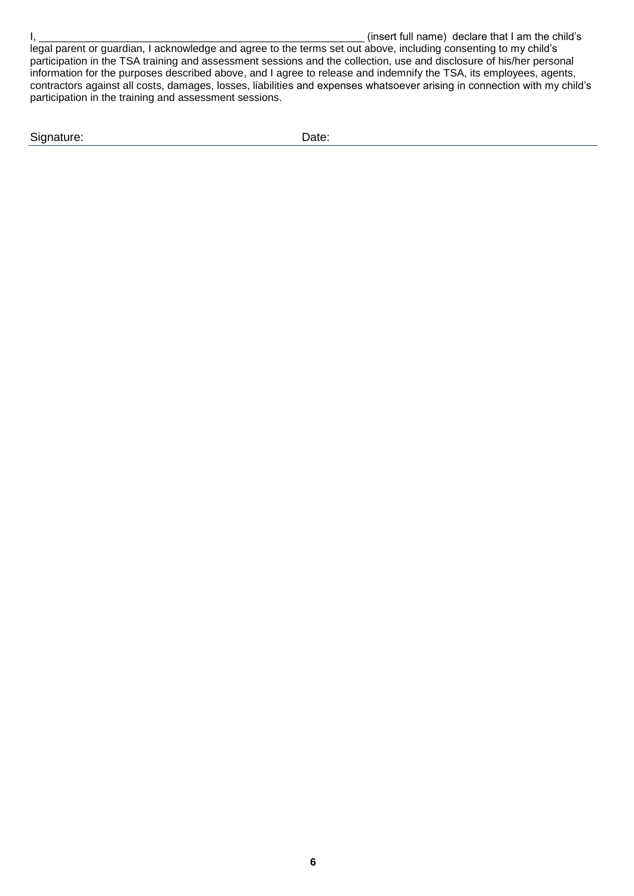legal parent or guardian, I acknowledge and agree to the terms set out above, including consenting to my child's participation in the TSA training and assessment sessions and the collection, use and disclosure of his/her personal information for the purposes described above, and I agree to release and indemnify the TSA, its employees, agents, contractors against all costs, damages, losses, liabilities and expenses whatsoever arising in connection with my child's participation in the training and assessment sessions.

Signature: Date: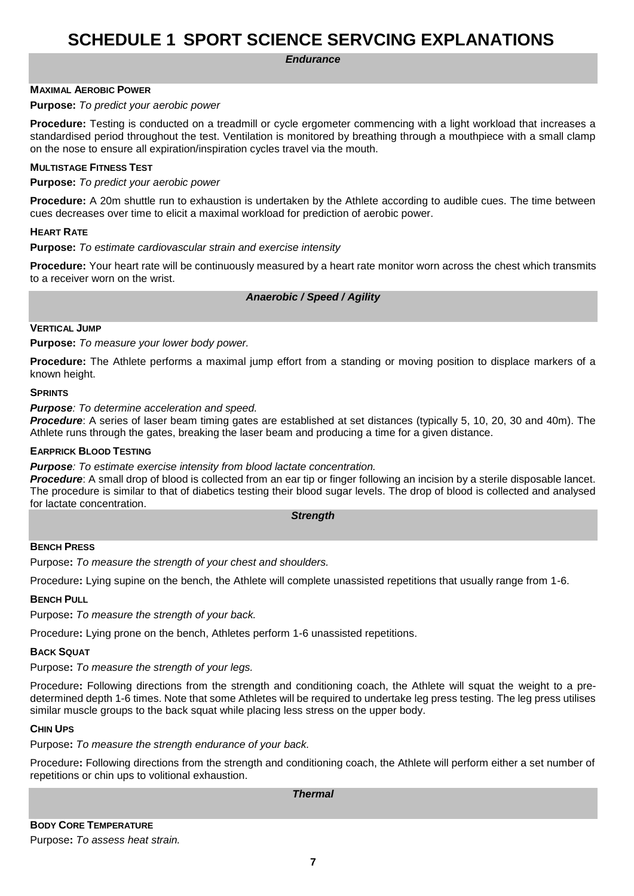# **SCHEDULE 1 SPORT SCIENCE SERVCING EXPLANATIONS**

*Endurance*

## **MAXIMAL AEROBIC POWER**

#### **Purpose:** *To predict your aerobic power*

**Procedure:** Testing is conducted on a treadmill or cycle ergometer commencing with a light workload that increases a standardised period throughout the test. Ventilation is monitored by breathing through a mouthpiece with a small clamp on the nose to ensure all expiration/inspiration cycles travel via the mouth.

## **MULTISTAGE FITNESS TEST**

**Purpose:** *To predict your aerobic power*

**Procedure:** A 20m shuttle run to exhaustion is undertaken by the Athlete according to audible cues. The time between cues decreases over time to elicit a maximal workload for prediction of aerobic power.

#### **HEART RATE**

**Purpose:** *To estimate cardiovascular strain and exercise intensity*

**Procedure:** Your heart rate will be continuously measured by a heart rate monitor worn across the chest which transmits to a receiver worn on the wrist.

*Anaerobic / Speed / Agility*

#### **VERTICAL JUMP**

**Purpose:** *To measure your lower body power.*

**Procedure:** The Athlete performs a maximal jump effort from a standing or moving position to displace markers of a known height.

#### **SPRINTS**

*Purpose: To determine acceleration and speed.*

*Procedure*: A series of laser beam timing gates are established at set distances (typically 5, 10, 20, 30 and 40m). The Athlete runs through the gates, breaking the laser beam and producing a time for a given distance.

#### **EARPRICK BLOOD TESTING**

*Purpose: To estimate exercise intensity from blood lactate concentration.*

**Procedure**: A small drop of blood is collected from an ear tip or finger following an incision by a sterile disposable lancet. The procedure is similar to that of diabetics testing their blood sugar levels. The drop of blood is collected and analysed for lactate concentration.

*Strength*

#### **BENCH PRESS**

Purpose**:** *To measure the strength of your chest and shoulders.*

Procedure**:** Lying supine on the bench, the Athlete will complete unassisted repetitions that usually range from 1-6.

#### **BENCH PULL**

Purpose**:** *To measure the strength of your back.*

Procedure**:** Lying prone on the bench, Athletes perform 1-6 unassisted repetitions.

#### **BACK SQUAT**

Purpose**:** *To measure the strength of your legs.*

Procedure**:** Following directions from the strength and conditioning coach, the Athlete will squat the weight to a predetermined depth 1-6 times. Note that some Athletes will be required to undertake leg press testing. The leg press utilises similar muscle groups to the back squat while placing less stress on the upper body.

#### **CHIN UPS**

Purpose**:** *To measure the strength endurance of your back.*

Procedure**:** Following directions from the strength and conditioning coach, the Athlete will perform either a set number of repetitions or chin ups to volitional exhaustion.

*Thermal*

**BODY CORE TEMPERATURE** Purpose**:** *To assess heat strain.*